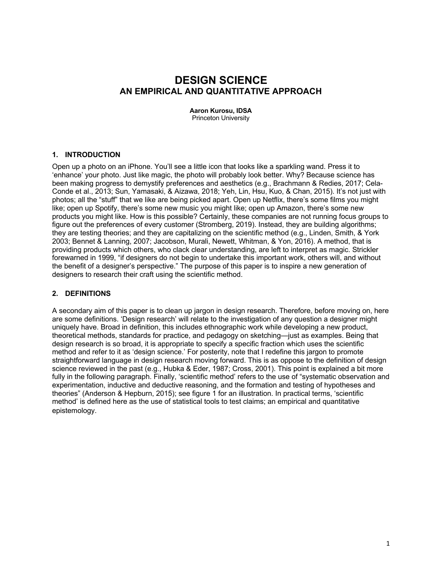# **DESIGN SCIENCE AN EMPIRICAL AND QUANTITATIVE APPROACH**

**Aaron Kurosu, IDSA** Princeton University

#### **1. INTRODUCTION**

Open up a photo on an iPhone. You'll see a little icon that looks like a sparkling wand. Press it to 'enhance' your photo. Just like magic, the photo will probably look better. Why? Because science has been making progress to demystify preferences and aesthetics (e.g., Brachmann & Redies, 2017; Cela-Conde et al., 2013; Sun, Yamasaki, & Aizawa, 2018; Yeh, Lin, Hsu, Kuo, & Chan, 2015). It's not just with photos; all the "stuff" that we like are being picked apart. Open up Netflix, there's some films you might like; open up Spotify, there's some new music you might like; open up Amazon, there's some new products you might like. How is this possible? Certainly, these companies are not running focus groups to figure out the preferences of every customer (Stromberg, 2019). Instead, they are building algorithms; they are testing theories; and they are capitalizing on the scientific method (e.g., Linden, Smith, & York 2003; Bennet & Lanning, 2007; Jacobson, Murali, Newett, Whitman, & Yon, 2016). A method, that is providing products which others, who clack clear understanding, are left to interpret as magic. Strickler forewarned in 1999, "if designers do not begin to undertake this important work, others will, and without the benefit of a designer's perspective." The purpose of this paper is to inspire a new generation of designers to research their craft using the scientific method.

## **2. DEFINITIONS**

A secondary aim of this paper is to clean up jargon in design research. Therefore, before moving on, here are some definitions. 'Design research' will relate to the investigation of any question a designer might uniquely have. Broad in definition, this includes ethnographic work while developing a new product, theoretical methods, standards for practice, and pedagogy on sketching—just as examples. Being that design research is so broad, it is appropriate to specify a specific fraction which uses the scientific method and refer to it as 'design science.' For posterity, note that I redefine this jargon to promote straightforward language in design research moving forward. This is as oppose to the definition of design science reviewed in the past (e.g., Hubka & Eder, 1987; Cross, 2001). This point is explained a bit more fully in the following paragraph. Finally, 'scientific method' refers to the use of "systematic observation and experimentation, inductive and deductive reasoning, and the formation and testing of hypotheses and theories" (Anderson & Hepburn, 2015); see figure 1 for an illustration. In practical terms, 'scientific method' is defined here as the use of statistical tools to test claims; an empirical and quantitative epistemology.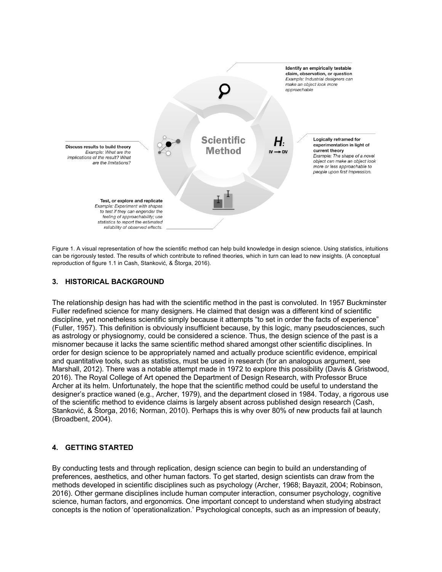

Figure 1. A visual representation of how the scientific method can help build knowledge in design science. Using statistics, intuitions can be rigorously tested. The results of which contribute to refined theories, which in turn can lead to new insights. (A conceptual reproduction of figure 1.1 in Cash, Stanković, & Štorga, 2016).

#### **3. HISTORICAL BACKGROUND**

The relationship design has had with the scientific method in the past is convoluted. In 1957 Buckminster Fuller redefined science for many designers. He claimed that design was a different kind of scientific discipline, yet nonetheless scientific simply because it attempts "to set in order the facts of experience" (Fuller, 1957). This definition is obviously insufficient because, by this logic, many pseudosciences, such as astrology or physiognomy, could be considered a science. Thus, the design science of the past is a misnomer because it lacks the same scientific method shared amongst other scientific disciplines. In order for design science to be appropriately named and actually produce scientific evidence, empirical and quantitative tools, such as statistics, must be used in research (for an analogous argument, see Marshall, 2012). There was a notable attempt made in 1972 to explore this possibility (Davis & Gristwood, 2016). The Royal College of Art opened the Department of Design Research, with Professor Bruce Archer at its helm. Unfortunately, the hope that the scientific method could be useful to understand the designer's practice waned (e.g., Archer, 1979), and the department closed in 1984. Today, a rigorous use of the scientific method to evidence claims is largely absent across published design research (Cash, Stanković, & Štorga, 2016; Norman, 2010). Perhaps this is why over 80% of new products fail at launch (Broadbent, 2004).

## **4. GETTING STARTED**

By conducting tests and through replication, design science can begin to build an understanding of preferences, aesthetics, and other human factors. To get started, design scientists can draw from the methods developed in scientific disciplines such as psychology (Archer, 1968; Bayazit, 2004; Robinson, 2016). Other germane disciplines include human computer interaction, consumer psychology, cognitive science, human factors, and ergonomics. One important concept to understand when studying abstract concepts is the notion of 'operationalization.' Psychological concepts, such as an impression of beauty,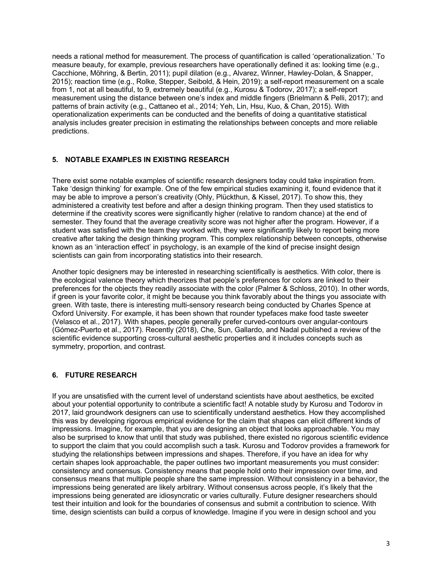needs a rational method for measurement. The process of quantification is called 'operationalization.' To measure beauty, for example, previous researchers have operationally defined it as: looking time (e.g., Cacchione, Möhring, & Bertin, 2011); pupil dilation (e.g., Alvarez, Winner, Hawley-Dolan, & Snapper, 2015); reaction time (e.g., Rolke, Stepper, Seibold, & Hein, 2019); a self-report measurement on a scale from 1, not at all beautiful, to 9, extremely beautiful (e.g., Kurosu & Todorov, 2017); a self-report measurement using the distance between one's index and middle fingers (Brielmann & Pelli, 2017); and patterns of brain activity (e.g., Cattaneo et al., 2014; Yeh, Lin, Hsu, Kuo, & Chan, 2015). With operationalization experiments can be conducted and the benefits of doing a quantitative statistical analysis includes greater precision in estimating the relationships between concepts and more reliable predictions.

## **5. NOTABLE EXAMPLES IN EXISTING RESEARCH**

There exist some notable examples of scientific research designers today could take inspiration from. Take 'design thinking' for example. One of the few empirical studies examining it, found evidence that it may be able to improve a person's creativity (Ohly, Plückthun, & Kissel, 2017). To show this, they administered a creativity test before and after a design thinking program. Then they used statistics to determine if the creativity scores were significantly higher (relative to random chance) at the end of semester. They found that the average creativity score was not higher after the program. However, if a student was satisfied with the team they worked with, they were significantly likely to report being more creative after taking the design thinking program. This complex relationship between concepts, otherwise known as an 'interaction effect' in psychology, is an example of the kind of precise insight design scientists can gain from incorporating statistics into their research.

Another topic designers may be interested in researching scientifically is aesthetics. With color, there is the ecological valence theory which theorizes that people's preferences for colors are linked to their preferences for the objects they readily associate with the color (Palmer & Schloss, 2010). In other words, if green is your favorite color, it might be because you think favorably about the things you associate with green. With taste, there is interesting multi-sensory research being conducted by Charles Spence at Oxford University. For example, it has been shown that rounder typefaces make food taste sweeter (Velasco et al., 2017). With shapes, people generally prefer curved-contours over angular-contours (Gómez-Puerto et al., 2017). Recently (2018), Che, Sun, Gallardo, and Nadal published a review of the scientific evidence supporting cross-cultural aesthetic properties and it includes concepts such as symmetry, proportion, and contrast.

## **6. FUTURE RESEARCH**

If you are unsatisfied with the current level of understand scientists have about aesthetics, be excited about your potential opportunity to contribute a scientific fact! A notable study by Kurosu and Todorov in 2017, laid groundwork designers can use to scientifically understand aesthetics. How they accomplished this was by developing rigorous empirical evidence for the claim that shapes can elicit different kinds of impressions. Imagine, for example, that you are designing an object that looks approachable. You may also be surprised to know that until that study was published, there existed no rigorous scientific evidence to support the claim that you could accomplish such a task. Kurosu and Todorov provides a framework for studying the relationships between impressions and shapes. Therefore, if you have an idea for why certain shapes look approachable, the paper outlines two important measurements you must consider: consistency and consensus. Consistency means that people hold onto their impression over time, and consensus means that multiple people share the same impression. Without consistency in a behavior, the impressions being generated are likely arbitrary. Without consensus across people, it's likely that the impressions being generated are idiosyncratic or varies culturally. Future designer researchers should test their intuition and look for the boundaries of consensus and submit a contribution to science. With time, design scientists can build a corpus of knowledge. Imagine if you were in design school and you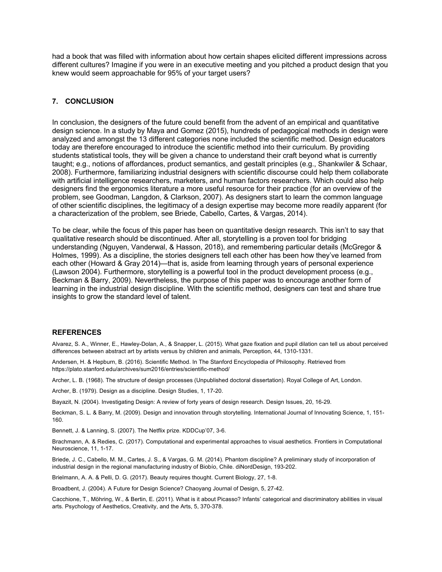had a book that was filled with information about how certain shapes elicited different impressions across different cultures? Imagine if you were in an executive meeting and you pitched a product design that you knew would seem approachable for 95% of your target users?

#### **7. CONCLUSION**

In conclusion, the designers of the future could benefit from the advent of an empirical and quantitative design science. In a study by Maya and Gomez (2015), hundreds of pedagogical methods in design were analyzed and amongst the 13 different categories none included the scientific method. Design educators today are therefore encouraged to introduce the scientific method into their curriculum. By providing students statistical tools, they will be given a chance to understand their craft beyond what is currently taught; e.g., notions of affordances, product semantics, and gestalt principles (e.g., Shankwiler & Schaar, 2008). Furthermore, familiarizing industrial designers with scientific discourse could help them collaborate with artificial intelligence researchers, marketers, and human factors researchers. Which could also help designers find the ergonomics literature a more useful resource for their practice (for an overview of the problem, see Goodman, Langdon, & Clarkson, 2007). As designers start to learn the common language of other scientific disciplines, the legitimacy of a design expertise may become more readily apparent (for a characterization of the problem, see Briede, Cabello, Cartes, & Vargas, 2014).

To be clear, while the focus of this paper has been on quantitative design research. This isn't to say that qualitative research should be discontinued. After all, storytelling is a proven tool for bridging understanding (Nguyen, Vanderwal, & Hasson, 2018), and remembering particular details (McGregor & Holmes, 1999). As a discipline, the stories designers tell each other has been how they've learned from each other (Howard & Gray 2014)—that is, aside from learning through years of personal experience (Lawson 2004). Furthermore, storytelling is a powerful tool in the product development process (e.g., Beckman & Barry, 2009). Nevertheless, the purpose of this paper was to encourage another form of learning in the industrial design discipline. With the scientific method, designers can test and share true insights to grow the standard level of talent.

#### **REFERENCES**

Alvarez, S. A., Winner, E., Hawley-Dolan, A., & Snapper, L. (2015). What gaze fixation and pupil dilation can tell us about perceived differences between abstract art by artists versus by children and animals, Perception, 44, 1310-1331.

Andersen, H. & Hepburn, B. (2016). Scientific Method. In The Stanford Encyclopedia of Philosophy. Retrieved from https://plato.stanford.edu/archives/sum2016/entries/scientific-method/

Archer, L. B. (1968). The structure of design processes (Unpublished doctoral dissertation). Royal College of Art, London.

Archer, B. (1979). Design as a discipline. Design Studies, 1, 17-20.

Bayazit, N. (2004). Investigating Design: A review of forty years of design research. Design Issues, 20, 16-29.

Beckman, S. L. & Barry, M. (2009). Design and innovation through storytelling. International Journal of Innovating Science, 1, 151- 160.

Bennett, J. & Lanning, S. (2007). The Netflix prize. KDDCup'07, 3-6.

Brachmann, A. & Redies, C. (2017). Computational and experimental approaches to visual aesthetics. Frontiers in Computational Neuroscience, 11, 1-17.

Briede, J. C., Cabello, M. M., Cartes, J. S., & Vargas, G. M. (2014). Phantom discipline? A preliminary study of incorporation of industrial design in the regional manufacturing industry of Biobío, Chile. diNordDesign, 193-202.

Brielmann, A. A. & Pelli, D. G. (2017). Beauty requires thought. Current Biology, 27, 1-8.

Broadbent, J. (2004). A Future for Design Science? Chaoyang Journal of Design, 5, 27-42.

Cacchione, T., Möhring, W., & Bertin, E. (2011). What is it about Picasso? Infants' categorical and discriminatory abilities in visual arts. Psychology of Aesthetics, Creativity, and the Arts, 5, 370-378.